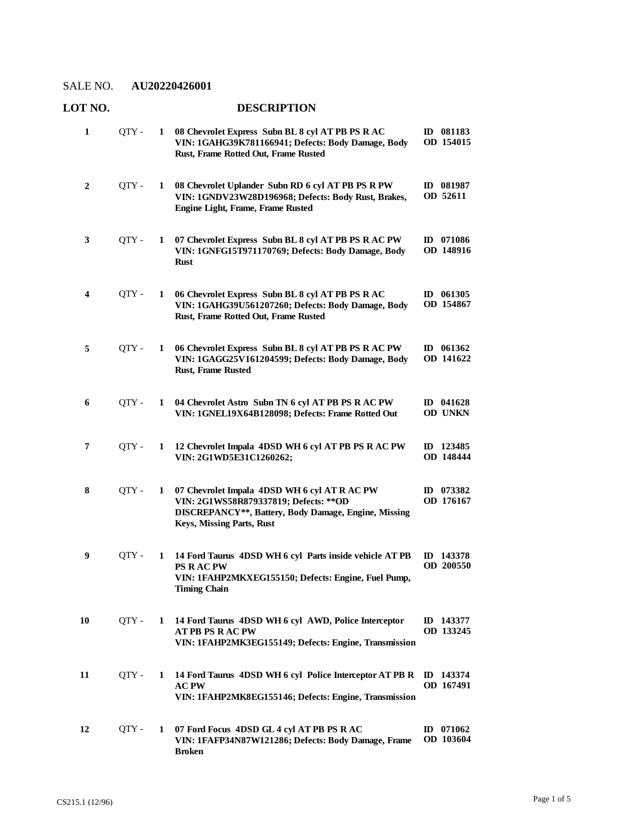## **LOT NO. DESCRIPTION**

| 1  | QTY - | 1 | 08 Chevrolet Express Subn BL 8 cyl AT PB PS R AC<br>VIN: 1GAHG39K781166941; Defects: Body Damage, Body<br>Rust, Frame Rotted Out, Frame Rusted                              | ID 081183<br>OD 154015   |
|----|-------|---|-----------------------------------------------------------------------------------------------------------------------------------------------------------------------------|--------------------------|
| 2  | QTY-  | 1 | 08 Chevrolet Uplander Subn RD 6 cyl AT PB PS R PW<br>VIN: 1GNDV23W28D196968; Defects: Body Rust, Brakes,<br>Engine Light, Frame, Frame Rusted                               | ID 081987<br>OD 52611    |
| 3  | QTY - | 1 | 07 Chevrolet Express Subn BL 8 cyl AT PB PS R AC PW<br>VIN: 1GNFG15T971170769; Defects: Body Damage, Body<br><b>Rust</b>                                                    | ID 071086<br>OD 148916   |
| 4  | QTY - | 1 | 06 Chevrolet Express Subn BL 8 cyl AT PB PS R AC<br>VIN: 1GAHG39U561207260; Defects: Body Damage, Body<br>Rust, Frame Rotted Out, Frame Rusted                              | ID 061305<br>OD 154867   |
| 5  | QTY - | 1 | 06 Chevrolet Express Subn BL 8 cyl AT PB PS R AC PW<br>VIN: 1GAGG25V161204599; Defects: Body Damage, Body<br><b>Rust, Frame Rusted</b>                                      | ID $061362$<br>OD 141622 |
| 6  | OTY - | 1 | 04 Chevrolet Astro Subn TN 6 cyl AT PB PS R AC PW<br>VIN: 1GNEL19X64B128098; Defects: Frame Rotted Out                                                                      | ID 041628<br>OD UNKN     |
| 7  | QTY-  | 1 | 12 Chevrolet Impala 4DSD WH 6 cyl AT PB PS R AC PW<br>VIN: 2G1WD5E31C1260262;                                                                                               | ID 123485<br>OD 148444   |
| 8  | QTY - | 1 | 07 Chevrolet Impala 4DSD WH 6 cyl AT R AC PW<br>VIN: 2G1WS58R879337819; Defects: ** OD<br>DISCREPANCY**, Battery, Body Damage, Engine, Missing<br>Keys, Missing Parts, Rust | ID 073382<br>OD 176167   |
| 9  | QTY-  | 1 | 14 Ford Taurus 4DSD WH 6 cyl Parts inside vehicle AT PB<br><b>PS RACPW</b><br>VIN: 1FAHP2MKXEG155150; Defects: Engine, Fuel Pump,<br><b>Timing Chain</b>                    | ID 143378<br>OD 200550   |
| 10 | OTY - | 1 | 14 Ford Taurus 4DSD WH 6 cyl AWD, Police Interceptor<br><b>AT PB PS RAC PW</b><br>VIN: 1FAHP2MK3EG155149; Defects: Engine, Transmission                                     | ID 143377<br>OD 133245   |
| 11 | QTY - | 1 | 14 Ford Taurus 4DSD WH 6 cyl Police Interceptor AT PB R<br><b>AC PW</b><br>VIN: 1FAHP2MK8EG155146; Defects: Engine, Transmission                                            | ID 143374<br>OD 167491   |
| 12 | QTY-  | 1 | 07 Ford Focus 4DSD GL 4 cyl AT PB PS R AC<br>VIN: 1FAFP34N87W121286; Defects: Body Damage, Frame<br><b>Broken</b>                                                           | $ID$ 071062<br>OD 103604 |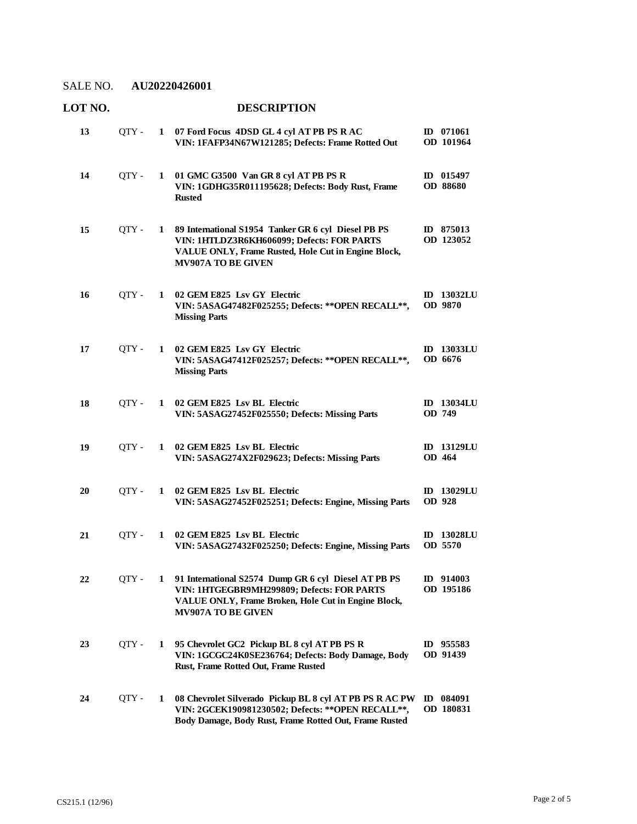| LOT NO. |       |              |                                                                                                                                                                                        |              |                              |
|---------|-------|--------------|----------------------------------------------------------------------------------------------------------------------------------------------------------------------------------------|--------------|------------------------------|
| 13      | QTY - | $\mathbf{1}$ | 07 Ford Focus 4DSD GL 4 cyl AT PB PS R AC<br>VIN: 1FAFP34N67W121285; Defects: Frame Rotted Out                                                                                         |              | ID 071061<br>OD 101964       |
| 14      | QTY - | 1            | 01 GMC G3500 Van GR 8 cyl AT PB PS R<br>VIN: 1GDHG35R011195628; Defects: Body Rust, Frame<br><b>Rusted</b>                                                                             |              | ID 015497<br><b>OD 88680</b> |
| 15      | QTY-  | $\mathbf{1}$ | 89 International S1954 Tanker GR 6 cyl Diesel PB PS<br>VIN: 1HTLDZ3R6KH606099; Defects: FOR PARTS<br>VALUE ONLY, Frame Rusted, Hole Cut in Engine Block,<br><b>MV907A TO BE GIVEN</b>  |              | ID 875013<br>OD 123052       |
| 16      | QTY - | $\mathbf{1}$ | 02 GEM E825 Lsv GY Electric<br>VIN: 5ASAG47482F025255; Defects: ** OPEN RECALL **,<br><b>Missing Parts</b>                                                                             |              | <b>ID</b> 13032LU<br>OD 9870 |
| 17      | QTY - | 1            | 02 GEM E825 Lsv GY Electric<br>VIN: 5ASAG47412F025257; Defects: ** OPEN RECALL **,<br><b>Missing Parts</b>                                                                             |              | <b>ID</b> 13033LU<br>OD 6676 |
| 18      | OTY - | 1            | 02 GEM E825 Lsv BL Electric<br>VIN: 5ASAG27452F025550; Defects: Missing Parts                                                                                                          |              | <b>ID 13034LU</b><br>OD 749  |
| 19      | OTY - | 1            | 02 GEM E825 Lsv BL Electric<br>VIN: 5ASAG274X2F029623; Defects: Missing Parts                                                                                                          |              | <b>ID</b> 13129LU<br>OD 464  |
| 20      | OTY - | 1            | 02 GEM E825 Lsv BL Electric<br>VIN: 5ASAG27452F025251; Defects: Engine, Missing Parts                                                                                                  |              | ID 13029LU<br>OD 928         |
| 21      | QTY - | 1            | 02 GEM E825 Lsv BL Electric<br>VIN: 5ASAG27432F025250; Defects: Engine, Missing Parts                                                                                                  |              | <b>ID</b> 13028LU<br>OD 5570 |
| 22      | OTY - | 1            | 91 International S2574 Dump GR 6 cyl Diesel AT PB PS<br>VIN: 1HTGEGBR9MH299809; Defects: FOR PARTS<br>VALUE ONLY, Frame Broken, Hole Cut in Engine Block,<br><b>MV907A TO BE GIVEN</b> |              | ID 914003<br>OD 195186       |
| 23      | QTY - | 1            | 95 Chevrolet GC2 Pickup BL 8 cyl AT PB PS R<br>VIN: 1GCGC24K0SE236764; Defects: Body Damage, Body<br>Rust, Frame Rotted Out, Frame Rusted                                              |              | ID 955583<br>OD 91439        |
| 24      | QTY - | 1            | 08 Chevrolet Silverado Pickup BL 8 cyl AT PB PS R AC PW<br>VIN: 2GCEK190981230502; Defects: ** OPEN RECALL **,<br>Body Damage, Body Rust, Frame Rotted Out, Frame Rusted               | $\mathbf{D}$ | 084091<br>OD 180831          |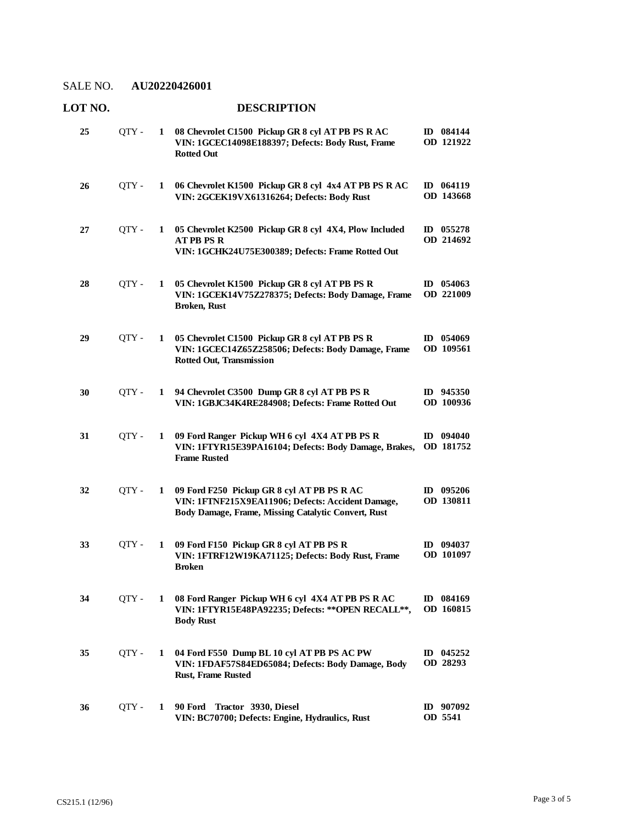| LOT NO. |       |   | <b>DESCRIPTION</b>                                                                                                                                     |                               |  |  |  |
|---------|-------|---|--------------------------------------------------------------------------------------------------------------------------------------------------------|-------------------------------|--|--|--|
| 25      | QTY - | 1 | 08 Chevrolet C1500 Pickup GR 8 cyl AT PB PS R AC<br>VIN: 1GCEC14098E188397; Defects: Body Rust, Frame<br><b>Rotted Out</b>                             | ID 084144<br>OD 121922        |  |  |  |
| 26      | QTY - | 1 | 06 Chevrolet K1500 Pickup GR 8 cyl 4x4 AT PB PS R AC<br>VIN: 2GCEK19VX61316264; Defects: Body Rust                                                     | ID 064119<br>OD 143668        |  |  |  |
| 27      | QTY-  | 1 | 05 Chevrolet K2500 Pickup GR 8 cyl 4X4, Plow Included<br><b>ATPB PSR</b><br>VIN: 1GCHK24U75E300389; Defects: Frame Rotted Out                          | ID 055278<br>OD 214692        |  |  |  |
| 28      | QTY - | 1 | 05 Chevrolet K1500 Pickup GR 8 cyl AT PB PS R<br>VIN: 1GCEK14V75Z278375; Defects: Body Damage, Frame<br><b>Broken, Rust</b>                            | ID $054063$<br>OD 221009      |  |  |  |
| 29      | OTY - | 1 | 05 Chevrolet C1500 Pickup GR 8 cyl AT PB PS R<br>VIN: 1GCEC14Z65Z258506; Defects: Body Damage, Frame<br><b>Rotted Out, Transmission</b>                | ID 054069<br>OD 109561        |  |  |  |
| 30      | QTY-  | 1 | 94 Chevrolet C3500 Dump GR 8 cyl AT PB PS R<br>VIN: 1GBJC34K4RE284908; Defects: Frame Rotted Out                                                       | ID 945350<br><b>OD</b> 100936 |  |  |  |
| 31      | QTY - | 1 | 09 Ford Ranger Pickup WH 6 cyl 4X4 AT PB PS R<br>VIN: 1FTYR15E39PA16104; Defects: Body Damage, Brakes,<br><b>Frame Rusted</b>                          | ID 094040<br>OD 181752        |  |  |  |
| 32      | QTY - | 1 | 09 Ford F250 Pickup GR 8 cyl AT PB PS R AC<br>VIN: 1FTNF215X9EA11906; Defects: Accident Damage,<br>Body Damage, Frame, Missing Catalytic Convert, Rust | ID 095206<br>OD 130811        |  |  |  |
| 33      | QTY - | 1 | 09 Ford F150 Pickup GR 8 cyl AT PB PS R<br>VIN: 1FTRF12W19KA71125; Defects: Body Rust, Frame<br><b>Broken</b>                                          | $ID$ 094037<br>OD 101097      |  |  |  |
| 34      | QTY - | 1 | 08 Ford Ranger Pickup WH 6 cyl 4X4 AT PB PS R AC<br>VIN: 1FTYR15E48PA92235; Defects: ** OPEN RECALL **,<br><b>Body Rust</b>                            | ID 084169<br>OD 160815        |  |  |  |
| 35      | QTY - | 1 | 04 Ford F550 Dump BL 10 cyl AT PB PS AC PW<br>VIN: 1FDAF57S84ED65084; Defects: Body Damage, Body<br><b>Rust, Frame Rusted</b>                          | ID $045252$<br>OD 28293       |  |  |  |
| 36      | QTY - | 1 | 90 Ford<br>Tractor 3930, Diesel<br>VIN: BC70700; Defects: Engine, Hydraulics, Rust                                                                     | $ID$ 907092<br>OD 5541        |  |  |  |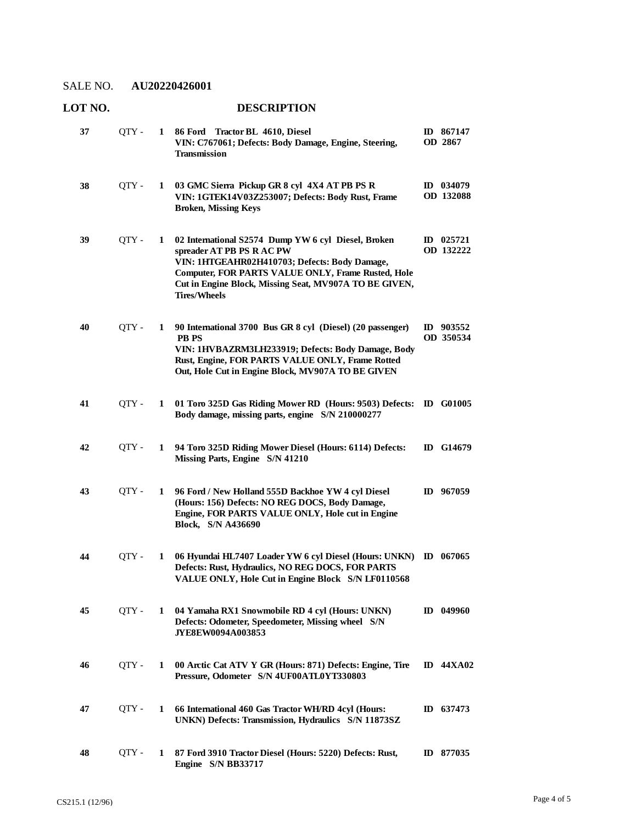### **LOT NO. DESCRIPTION**

| 37 | QTY - | 1 | 86 Ford Tractor BL 4610, Diesel<br>VIN: C767061; Defects: Body Damage, Engine, Steering,<br><b>Transmission</b>                                                                                                                                                          | ID 867147<br>OD 2867     |
|----|-------|---|--------------------------------------------------------------------------------------------------------------------------------------------------------------------------------------------------------------------------------------------------------------------------|--------------------------|
| 38 | QTY - | 1 | 03 GMC Sierra Pickup GR 8 cyl 4X4 AT PB PS R<br>VIN: 1GTEK14V03Z253007; Defects: Body Rust, Frame<br><b>Broken, Missing Keys</b>                                                                                                                                         | ID 034079<br>OD 132088   |
| 39 | QTY - | 1 | 02 International S2574 Dump YW 6 cyl Diesel, Broken<br>spreader AT PB PS R AC PW<br>VIN: 1HTGEAHR02H410703; Defects: Body Damage,<br>Computer, FOR PARTS VALUE ONLY, Frame Rusted, Hole<br>Cut in Engine Block, Missing Seat, MV907A TO BE GIVEN,<br><b>Tires/Wheels</b> | ID $025721$<br>OD 132222 |
| 40 | OTY - | 1 | 90 International 3700 Bus GR 8 cyl (Diesel) (20 passenger)<br><b>PB PS</b><br>VIN: 1HVBAZRM3LH233919; Defects: Body Damage, Body<br>Rust, Engine, FOR PARTS VALUE ONLY, Frame Rotted<br>Out, Hole Cut in Engine Block, MV907A TO BE GIVEN                                | ID 903552<br>OD 350534   |
| 41 | QTY - | 1 | 01 Toro 325D Gas Riding Mower RD (Hours: 9503) Defects:<br>Body damage, missing parts, engine S/N 210000277                                                                                                                                                              | <b>ID</b> G01005         |
| 42 | QTY - | 1 | 94 Toro 325D Riding Mower Diesel (Hours: 6114) Defects:<br>Missing Parts, Engine S/N 41210                                                                                                                                                                               | ID G14679                |
| 43 | QTY-  | 1 | 96 Ford / New Holland 555D Backhoe YW 4 cyl Diesel<br>(Hours: 156) Defects: NO REG DOCS, Body Damage,<br>Engine, FOR PARTS VALUE ONLY, Hole cut in Engine<br><b>Block, S/N A436690</b>                                                                                   | ID 967059                |
| 44 | QTY - | 1 | 06 Hyundai HL7407 Loader YW 6 cyl Diesel (Hours: UNKN)<br>Defects: Rust, Hydraulics, NO REG DOCS, FOR PARTS<br>VALUE ONLY, Hole Cut in Engine Block S/N LF0110568                                                                                                        | $ID$ 067065              |
| 45 | QTY - | 1 | 04 Yamaha RX1 Snowmobile RD 4 cyl (Hours: UNKN)<br>Defects: Odometer, Speedometer, Missing wheel S/N<br><b>JYE8EW0094A003853</b>                                                                                                                                         | $ID$ 049960              |
| 46 | QTY - | 1 | 00 Arctic Cat ATV Y GR (Hours: 871) Defects: Engine, Tire<br>Pressure, Odometer S/N 4UF00ATL0YT330803                                                                                                                                                                    | <b>ID 44XA02</b>         |
| 47 | OTY - | 1 | 66 International 460 Gas Tractor WH/RD 4cyl (Hours:<br>UNKN) Defects: Transmission, Hydraulics S/N 11873SZ                                                                                                                                                               | ID 637473                |
| 48 | QTY - | 1 | 87 Ford 3910 Tractor Diesel (Hours: 5220) Defects: Rust,<br>Engine S/N BB33717                                                                                                                                                                                           | ID 877035                |